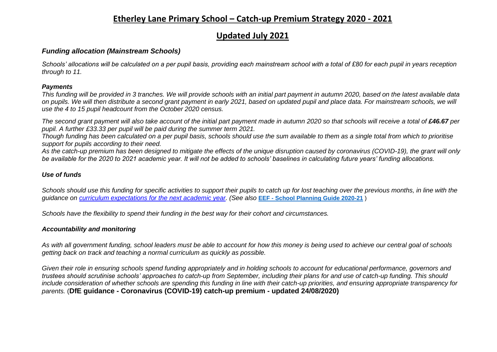## **Etherley Lane Primary School – Catch-up Premium Strategy 2020 - 2021**

# **Updated July 2021**

### *Funding allocation (Mainstream Schools)*

*Schools' allocations will be calculated on a per pupil basis, providing each mainstream school with a total of £80 for each pupil in years reception through to 11.*

#### *Payments*

*This funding will be provided in 3 tranches. We will provide schools with an initial part payment in autumn 2020, based on the latest available data on pupils. We will then distribute a second grant payment in early 2021, based on updated pupil and place data. For mainstream schools, we will use the 4 to 15 pupil headcount from the October 2020 census.*

The second grant payment will also take account of the initial part payment made in autumn 2020 so that schools will receive a total of £46.67 per *pupil. A further £33.33 per pupil will be paid during the summer term 2021.*

*Though funding has been calculated on a per pupil basis, schools should use the sum available to them as a single total from which to prioritise support for pupils according to their need.*

*As the catch-up premium has been designed to mitigate the effects of the unique disruption caused by coronavirus (COVID-19), the grant will only be available for the 2020 to 2021 academic year. It will not be added to schools' baselines in calculating future years' funding allocations.*

#### *Use of funds*

*Schools should use this funding for specific activities to support their pupils to catch up for lost teaching over the previous months, in line with the guidance on [curriculum expectations for the next academic year.](https://www.gov.uk/government/publications/actions-for-schools-during-the-coronavirus-outbreak/guidance-for-full-opening-schools#section-3-curriculum-behaviour-and-pastoral-support) (See also* **EEF - [School Planning Guide 2020-21](https://educationendowmentfoundation.org.uk/covid-19-resources/guide-to-supporting-schools-planning/)** )

*Schools have the flexibility to spend their funding in the best way for their cohort and circumstances.*

#### *Accountability and monitoring*

*As with all government funding, school leaders must be able to account for how this money is being used to achieve our central goal of schools getting back on track and teaching a normal curriculum as quickly as possible.*

*Given their role in ensuring schools spend funding appropriately and in holding schools to account for educational performance, governors and trustees should scrutinise schools' approaches to catch-up from September, including their plans for and use of catch-up funding. This should include consideration of whether schools are spending this funding in line with their catch-up priorities, and ensuring appropriate transparency for parents.* (**DfE guidance - Coronavirus (COVID-19) catch-up premium - updated 24/08/2020)**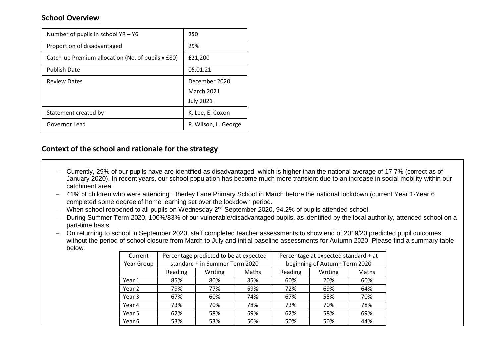## **School Overview**

| Number of pupils in school $YA - Y6$              | 250                                                    |
|---------------------------------------------------|--------------------------------------------------------|
| Proportion of disadvantaged                       | 29%                                                    |
| Catch-up Premium allocation (No. of pupils x £80) | £21,200                                                |
| <b>Publish Date</b>                               | 05.01.21                                               |
| <b>Review Dates</b>                               | December 2020<br><b>March 2021</b><br><b>July 2021</b> |
| Statement created by                              | K. Lee, E. Coxon                                       |
| Governor Lead                                     | P. Wilson, L. George                                   |

## **Context of the school and rationale for the strategy**

- − Currently, 29% of our pupils have are identified as disadvantaged, which is higher than the national average of 17.7% (correct as of January 2020). In recent years, our school population has become much more transient due to an increase in social mobility within our catchment area.
- − 41% of children who were attending Etherley Lane Primary School in March before the national lockdown (current Year 1-Year 6 completed some degree of home learning set over the lockdown period.
- − When school reopened to all pupils on Wednesday 2nd September 2020, 94.2% of pupils attended school.
- − During Summer Term 2020, 100%/83% of our vulnerable/disadvantaged pupils, as identified by the local authority, attended school on a part-time basis.
- − On returning to school in September 2020, staff completed teacher assessments to show end of 2019/20 predicted pupil outcomes without the period of school closure from March to July and initial baseline assessments for Autumn 2020. Please find a summary table below:

| Current    | Percentage predicted to be at expected |                                |     | Percentage at expected standard + at |                               |       |  |  |
|------------|----------------------------------------|--------------------------------|-----|--------------------------------------|-------------------------------|-------|--|--|
| Year Group |                                        | standard + in Summer Term 2020 |     |                                      | beginning of Autumn Term 2020 |       |  |  |
|            | Reading                                | Writing<br>Maths               |     | Reading                              | Writing                       | Maths |  |  |
| Year 1     | 85%                                    | 80%                            | 85% | 60%                                  | 20%                           | 60%   |  |  |
| Year 2     | 79%                                    | 77%                            | 69% | 72%                                  | 69%                           | 64%   |  |  |
| Year 3     | 67%                                    | 60%                            | 74% | 67%                                  | 55%                           | 70%   |  |  |
| Year 4     | 73%                                    | 70%                            | 78% | 73%                                  | 70%                           | 78%   |  |  |
| Year 5     | 62%                                    | 58%                            | 69% | 62%                                  | 58%                           | 69%   |  |  |
| Year 6     | 53%                                    | 53%                            | 50% | 50%                                  | 50%                           | 44%   |  |  |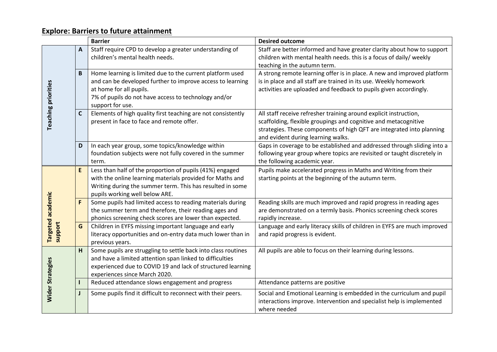# **Explore: Barriers to future attainment**

|                            |              | <b>Barrier</b>                                                                               | <b>Desired outcome</b>                                                   |
|----------------------------|--------------|----------------------------------------------------------------------------------------------|--------------------------------------------------------------------------|
|                            | $\mathbf{A}$ | Staff require CPD to develop a greater understanding of                                      | Staff are better informed and have greater clarity about how to support  |
|                            |              | children's mental health needs.                                                              | children with mental health needs. this is a focus of daily/ weekly      |
|                            |              |                                                                                              | teaching in the autumn term.                                             |
|                            | B            | Home learning is limited due to the current platform used                                    | A strong remote learning offer is in place. A new and improved platform  |
|                            |              | and can be developed further to improve access to learning                                   | is in place and all staff are trained in its use. Weekly homework        |
|                            |              | at home for all pupils.                                                                      | activities are uploaded and feedback to pupils given accordingly.        |
|                            |              | 7% of pupils do not have access to technology and/or<br>support for use.                     |                                                                          |
| <b>Teaching priorities</b> | $\mathsf{C}$ | Elements of high quality first teaching are not consistently                                 | All staff receive refresher training around explicit instruction,        |
|                            |              | present in face to face and remote offer.                                                    | scaffolding, flexible groupings and cognitive and metacognitive          |
|                            |              |                                                                                              | strategies. These components of high QFT are integrated into planning    |
|                            |              |                                                                                              | and evident during learning walks.                                       |
|                            | D            | In each year group, some topics/knowledge within                                             | Gaps in coverage to be established and addressed through sliding into a  |
|                            |              | foundation subjects were not fully covered in the summer                                     | following year group where topics are revisited or taught discretely in  |
|                            |              | term.                                                                                        | the following academic year.                                             |
|                            | E            | Less than half of the proportion of pupils (41%) engaged                                     | Pupils make accelerated progress in Maths and Writing from their         |
|                            |              | with the online learning materials provided for Maths and                                    | starting points at the beginning of the autumn term.                     |
|                            |              | Writing during the summer term. This has resulted in some                                    |                                                                          |
| academic                   | F            | pupils working well below ARE.<br>Some pupils had limited access to reading materials during | Reading skills are much improved and rapid progress in reading ages      |
|                            |              | the summer term and therefore, their reading ages and                                        | are demonstrated on a termly basis. Phonics screening check scores       |
|                            |              | phonics screening check scores are lower than expected.                                      | rapidly increase.                                                        |
| <b>Targeted</b>            | G            | Children in EYFS missing important language and early                                        | Language and early literacy skills of children in EYFS are much improved |
| support                    |              | literacy opportunities and on-entry data much lower than in                                  | and rapid progress is evident.                                           |
|                            |              | previous years.                                                                              |                                                                          |
|                            | H            | Some pupils are struggling to settle back into class routines                                | All pupils are able to focus on their learning during lessons.           |
|                            |              | and have a limited attention span linked to difficulties                                     |                                                                          |
|                            |              | experienced due to COVID 19 and lack of structured learning                                  |                                                                          |
|                            |              | experiences since March 2020.                                                                |                                                                          |
| Wider Strategies           |              | Reduced attendance slows engagement and progress                                             | Attendance patterns are positive                                         |
|                            |              | Some pupils find it difficult to reconnect with their peers.                                 | Social and Emotional Learning is embedded in the curriculum and pupil    |
|                            |              |                                                                                              | interactions improve. Intervention and specialist help is implemented    |
|                            |              |                                                                                              | where needed                                                             |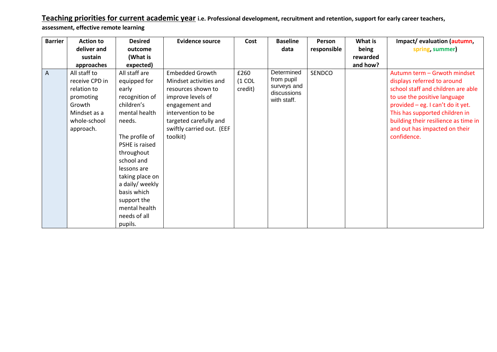**Teaching priorities for current academic year i.e. Professional development, recruitment and retention, support for early career teachers,** 

**assessment, effective remote learning** 

| <b>Barrier</b> | <b>Action to</b>                                                                                                  | <b>Desired</b>                                                                                                                                                                                                                                                                                   | <b>Evidence source</b>                                                                                                                                                                                 | Cost                        | <b>Baseline</b>                                                       | Person      | What is  | Impact/evaluation (autumn,                                                                                                                                                                                                                                                                       |
|----------------|-------------------------------------------------------------------------------------------------------------------|--------------------------------------------------------------------------------------------------------------------------------------------------------------------------------------------------------------------------------------------------------------------------------------------------|--------------------------------------------------------------------------------------------------------------------------------------------------------------------------------------------------------|-----------------------------|-----------------------------------------------------------------------|-------------|----------|--------------------------------------------------------------------------------------------------------------------------------------------------------------------------------------------------------------------------------------------------------------------------------------------------|
|                | deliver and                                                                                                       | outcome                                                                                                                                                                                                                                                                                          |                                                                                                                                                                                                        |                             | data                                                                  | responsible | being    | spring, summer)                                                                                                                                                                                                                                                                                  |
|                | sustain                                                                                                           | (What is                                                                                                                                                                                                                                                                                         |                                                                                                                                                                                                        |                             |                                                                       |             | rewarded |                                                                                                                                                                                                                                                                                                  |
|                | approaches                                                                                                        | expected)                                                                                                                                                                                                                                                                                        |                                                                                                                                                                                                        |                             |                                                                       |             | and how? |                                                                                                                                                                                                                                                                                                  |
| A              | All staff to<br>receive CPD in<br>relation to<br>promoting<br>Growth<br>Mindset as a<br>whole-school<br>approach. | All staff are<br>equipped for<br>early<br>recognition of<br>children's<br>mental health<br>needs.<br>The profile of<br>PSHE is raised<br>throughout<br>school and<br>lessons are<br>taking place on<br>a daily/ weekly<br>basis which<br>support the<br>mental health<br>needs of all<br>pupils. | <b>Embedded Growth</b><br>Mindset activities and<br>resources shown to<br>improve levels of<br>engagement and<br>intervention to be<br>targeted carefully and<br>swiftly carried out. (EEF<br>toolkit) | £260<br>$(1$ COL<br>credit) | Determined<br>from pupil<br>surveys and<br>discussions<br>with staff. | SENDCO      |          | Autumn term - Grwoth mindset<br>displays referred to around<br>school staff and children are able<br>to use the positive language<br>provided - eg. I can't do it yet.<br>This has supported children in<br>building their resilience as time in<br>and out has impacted on their<br>confidence. |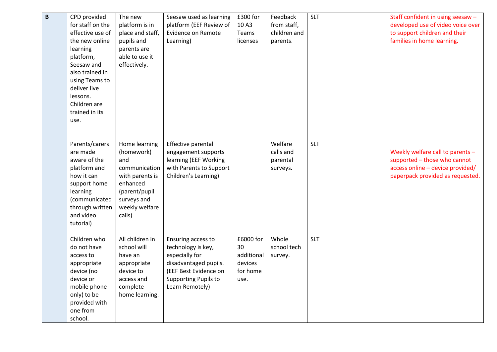| $\mathbf B$ | CPD provided               | The new                     | Seesaw used as learning   | £300 for   | Feedback     | <b>SLT</b> | Staff confident in using seesaw - |
|-------------|----------------------------|-----------------------------|---------------------------|------------|--------------|------------|-----------------------------------|
|             | for staff on the           | platform is in              | platform (EEF Review of   | 10A3       | from staff,  |            | developed use of video voice over |
|             | effective use of           | place and staff,            | <b>Evidence on Remote</b> | Teams      | children and |            | to support children and their     |
|             | the new online             | pupils and                  | Learning)                 | licenses   | parents.     |            | families in home learning.        |
|             | learning                   | parents are                 |                           |            |              |            |                                   |
|             | platform,                  | able to use it              |                           |            |              |            |                                   |
|             | Seesaw and                 | effectively.                |                           |            |              |            |                                   |
|             | also trained in            |                             |                           |            |              |            |                                   |
|             | using Teams to             |                             |                           |            |              |            |                                   |
|             | deliver live               |                             |                           |            |              |            |                                   |
|             | lessons.                   |                             |                           |            |              |            |                                   |
|             | Children are               |                             |                           |            |              |            |                                   |
|             | trained in its             |                             |                           |            |              |            |                                   |
|             | use.                       |                             |                           |            |              |            |                                   |
|             |                            |                             |                           |            |              |            |                                   |
|             |                            |                             |                           |            |              |            |                                   |
|             | Parents/carers             | Home learning               | Effective parental        |            | Welfare      | <b>SLT</b> |                                   |
|             | are made                   | (homework)                  | engagement supports       |            | calls and    |            | Weekly welfare call to parents -  |
|             | aware of the               | and                         | learning (EEF Working     |            | parental     |            | supported - those who cannot      |
|             | platform and<br>how it can | communication               | with Parents to Support   |            | surveys.     |            | access online - device provided/  |
|             | support home               | with parents is<br>enhanced | Children's Learning)      |            |              |            | paperpack provided as requested.  |
|             | learning                   | (parent/pupil               |                           |            |              |            |                                   |
|             | (communicated              | surveys and                 |                           |            |              |            |                                   |
|             | through written            | weekly welfare              |                           |            |              |            |                                   |
|             | and video                  | calls)                      |                           |            |              |            |                                   |
|             | tutorial)                  |                             |                           |            |              |            |                                   |
|             |                            |                             |                           |            |              |            |                                   |
|             | Children who               | All children in             | Ensuring access to        | £6000 for  | Whole        | <b>SLT</b> |                                   |
|             | do not have                | school will                 | technology is key,        | 30         | school tech  |            |                                   |
|             | access to                  | have an                     | especially for            | additional | survey.      |            |                                   |
|             | appropriate                | appropriate                 | disadvantaged pupils.     | devices    |              |            |                                   |
|             | device (no                 | device to                   | (EEF Best Evidence on     | for home   |              |            |                                   |
|             | device or                  | access and                  | Supporting Pupils to      | use.       |              |            |                                   |
|             | mobile phone               | complete                    | Learn Remotely)           |            |              |            |                                   |
|             | only) to be                | home learning.              |                           |            |              |            |                                   |
|             | provided with              |                             |                           |            |              |            |                                   |
|             | one from                   |                             |                           |            |              |            |                                   |
|             | school.                    |                             |                           |            |              |            |                                   |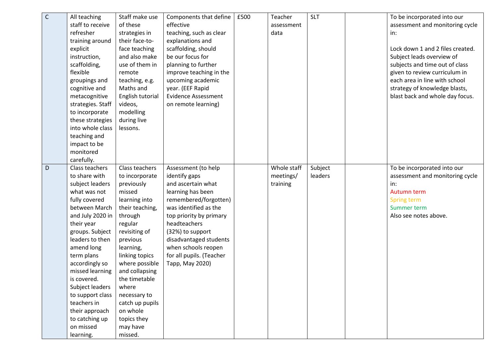| $\mathsf C$ | All teaching      | Staff make use   | Components that define     | £500 | Teacher     | <b>SLT</b> | To be incorporated into our      |
|-------------|-------------------|------------------|----------------------------|------|-------------|------------|----------------------------------|
|             | staff to receive  | of these         | effective                  |      | assessment  |            | assessment and monitoring cycle  |
|             | refresher         | strategies in    | teaching, such as clear    |      | data        |            | in:                              |
|             | training around   | their face-to-   | explanations and           |      |             |            |                                  |
|             | explicit          | face teaching    | scaffolding, should        |      |             |            | Lock down 1 and 2 files created. |
|             | instruction,      | and also make    | be our focus for           |      |             |            | Subject leads overview of        |
|             | scaffolding,      | use of them in   | planning to further        |      |             |            | subjects and time out of class   |
|             | flexible          | remote           | improve teaching in the    |      |             |            | given to review curriculum in    |
|             | groupings and     | teaching, e.g.   | upcoming academic          |      |             |            | each area in line with school    |
|             | cognitive and     | Maths and        | year. (EEF Rapid           |      |             |            | strategy of knowledge blasts,    |
|             | metacognitive     | English tutorial | <b>Evidence Assessment</b> |      |             |            | blast back and whole day focus.  |
|             | strategies. Staff | videos,          | on remote learning)        |      |             |            |                                  |
|             | to incorporate    | modelling        |                            |      |             |            |                                  |
|             | these strategies  | during live      |                            |      |             |            |                                  |
|             | into whole class  | lessons.         |                            |      |             |            |                                  |
|             | teaching and      |                  |                            |      |             |            |                                  |
|             | impact to be      |                  |                            |      |             |            |                                  |
|             | monitored         |                  |                            |      |             |            |                                  |
|             | carefully.        |                  |                            |      |             |            |                                  |
| D           | Class teachers    | Class teachers   | Assessment (to help        |      | Whole staff | Subject    | To be incorporated into our      |
|             | to share with     | to incorporate   | identify gaps              |      | meetings/   | leaders    | assessment and monitoring cycle  |
|             | subject leaders   | previously       | and ascertain what         |      | training    |            | in:                              |
|             | what was not      | missed           | learning has been          |      |             |            | Autumn term                      |
|             | fully covered     | learning into    | remembered/forgotten)      |      |             |            | Spring term                      |
|             | between March     | their teaching,  | was identified as the      |      |             |            | Summer term                      |
|             | and July 2020 in  | through          | top priority by primary    |      |             |            | Also see notes above.            |
|             | their year        | regular          | headteachers               |      |             |            |                                  |
|             | groups. Subject   | revisiting of    | (32%) to support           |      |             |            |                                  |
|             | leaders to then   | previous         | disadvantaged students     |      |             |            |                                  |
|             | amend long        | learning,        | when schools reopen        |      |             |            |                                  |
|             | term plans        | linking topics   | for all pupils. (Teacher   |      |             |            |                                  |
|             | accordingly so    | where possible   | Tapp, May 2020)            |      |             |            |                                  |
|             | missed learning   | and collapsing   |                            |      |             |            |                                  |
|             | is covered.       | the timetable    |                            |      |             |            |                                  |
|             | Subject leaders   | where            |                            |      |             |            |                                  |
|             | to support class  | necessary to     |                            |      |             |            |                                  |
|             | teachers in       | catch up pupils  |                            |      |             |            |                                  |
|             | their approach    | on whole         |                            |      |             |            |                                  |
|             | to catching up    | topics they      |                            |      |             |            |                                  |
|             | on missed         | may have         |                            |      |             |            |                                  |
|             | learning.         | missed.          |                            |      |             |            |                                  |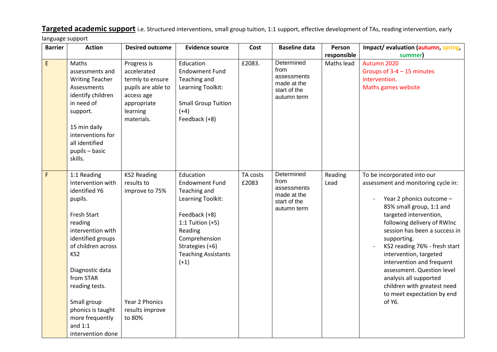**Targeted academic support** i.e. Structured interventions, small group tuition, 1:1 support, effective development of TAs, reading intervention, early language support

| <b>Barrier</b>                             | <b>Action</b>                                                                                                                                                                                                                                                                                                               | <b>Desired outcome</b>                                                                                                      | <b>Evidence source</b>                                                                                                                                                                                | Cost              | <b>Baseline data</b>                                                            | Person          | Impact/ evaluation (autumn, spring,                                                                                                                                                                                                                                                                                                                                                                                                                        |
|--------------------------------------------|-----------------------------------------------------------------------------------------------------------------------------------------------------------------------------------------------------------------------------------------------------------------------------------------------------------------------------|-----------------------------------------------------------------------------------------------------------------------------|-------------------------------------------------------------------------------------------------------------------------------------------------------------------------------------------------------|-------------------|---------------------------------------------------------------------------------|-----------------|------------------------------------------------------------------------------------------------------------------------------------------------------------------------------------------------------------------------------------------------------------------------------------------------------------------------------------------------------------------------------------------------------------------------------------------------------------|
|                                            |                                                                                                                                                                                                                                                                                                                             |                                                                                                                             |                                                                                                                                                                                                       |                   |                                                                                 | responsible     | summer)                                                                                                                                                                                                                                                                                                                                                                                                                                                    |
| $\mathsf{E}% _{0}\left( \mathsf{E}\right)$ | Maths<br>assessments and<br><b>Writing Teacher</b><br>Assessments<br>identify children<br>in need of<br>support.<br>15 min daily<br>interventions for<br>all identified<br>pupils - basic<br>skills.                                                                                                                        | Progress is<br>accelerated<br>termly to ensure<br>pupils are able to<br>access age<br>appropriate<br>learning<br>materials. | Education<br><b>Endowment Fund</b><br>Teaching and<br>Learning Toolkit:<br><b>Small Group Tuition</b><br>$(+4)$<br>Feedback (+8)                                                                      | £2083.            | Determined<br>from<br>assessments<br>made at the<br>start of the<br>autumn term | Maths lead      | Autumn 2020<br>Groups of 3-4 - 15 minutes<br>intervention.<br>Maths games website                                                                                                                                                                                                                                                                                                                                                                          |
| $\mathsf F$                                | 1:1 Reading<br>Intervention with<br>identified Y6<br>pupils.<br><b>Fresh Start</b><br>reading<br>intervention with<br>identified groups<br>of children across<br>KS <sub>2</sub><br>Diagnostic data<br>from STAR<br>reading tests.<br>Small group<br>phonics is taught<br>more frequently<br>and $1:1$<br>intervention done | <b>KS2 Reading</b><br>results to<br>improve to 75%<br>Year 2 Phonics<br>results improve<br>to 80%                           | Education<br><b>Endowment Fund</b><br>Teaching and<br>Learning Toolkit:<br>Feedback (+8)<br>1:1 Tuition $(+5)$<br>Reading<br>Comprehension<br>Strategies (+6)<br><b>Teaching Assistants</b><br>$(+1)$ | TA costs<br>£2083 | Determined<br>from<br>assessments<br>made at the<br>start of the<br>autumn term | Reading<br>Lead | To be incorporated into our<br>assessment and monitoring cycle in:<br>Year 2 phonics outcome -<br>85% small group, 1:1 and<br>targeted intervention,<br>following delivery of RWInc<br>session has been a success in<br>supporting.<br>KS2 reading 76% - fresh start<br>intervention, targeted<br>intervention and frequent<br>assessment. Question level<br>analysis all supported<br>children with greatest need<br>to meet expectation by end<br>of Y6. |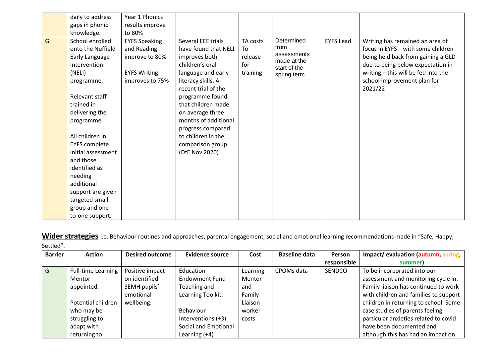**Wider strategies** i.e. Behaviour routines and approaches, parental engagement, social and emotional learning recommendations made in "Safe, Happy, Settled".

| <b>Barrier</b>          | <b>Action</b>             | <b>Desired outcome</b> | <b>Evidence source</b> | Cost     | <b>Baseline data</b> | Person      | Impact/ evaluation (autumn, spring,   |
|-------------------------|---------------------------|------------------------|------------------------|----------|----------------------|-------------|---------------------------------------|
|                         |                           |                        |                        |          |                      | responsible | summer)                               |
| $\overline{\mathsf{G}}$ | <b>Full-time Learning</b> | Positive impact        | Education              | Learning | CPOMs data           | SENDCO      | To be incorporated into our           |
|                         | Mentor                    | on identified          | <b>Endowment Fund</b>  | Mentor   |                      |             | assessment and monitoring cycle in:   |
|                         | appointed.                | SEMH pupils'           | Teaching and           | and      |                      |             | Family liaison has continued to work  |
|                         |                           | emotional              | Learning Toolkit:      | Family   |                      |             | with children and families to support |
|                         | Potential children        | wellbeing.             |                        | Liaison  |                      |             | children in returning to school. Some |
|                         | who may be                |                        | Behaviour              | worker   |                      |             | case studies of parents feeling       |
|                         | struggling to             |                        | Interventions (+3)     | costs    |                      |             | particular anxieties related to covid |
|                         | adapt with                |                        | Social and Emotional   |          |                      |             | have been documented and              |
|                         | returning to              |                        | Learning (+4)          |          |                      |             | although this has had an impact on    |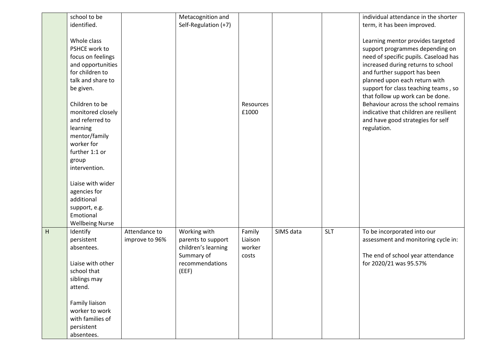|                | school to be           |                | Metacognition and    |           |           |            | individual attendance in the shorter   |
|----------------|------------------------|----------------|----------------------|-----------|-----------|------------|----------------------------------------|
|                | identified.            |                | Self-Regulation (+7) |           |           |            | term, it has been improved.            |
|                |                        |                |                      |           |           |            |                                        |
|                | Whole class            |                |                      |           |           |            | Learning mentor provides targeted      |
|                | PSHCE work to          |                |                      |           |           |            | support programmes depending on        |
|                | focus on feelings      |                |                      |           |           |            | need of specific pupils. Caseload has  |
|                | and opportunities      |                |                      |           |           |            | increased during returns to school     |
|                | for children to        |                |                      |           |           |            | and further support has been           |
|                | talk and share to      |                |                      |           |           |            | planned upon each return with          |
|                | be given.              |                |                      |           |           |            | support for class teaching teams, so   |
|                |                        |                |                      |           |           |            | that follow up work can be done.       |
|                | Children to be         |                |                      | Resources |           |            | Behaviour across the school remains    |
|                | monitored closely      |                |                      | £1000     |           |            | indicative that children are resilient |
|                | and referred to        |                |                      |           |           |            | and have good strategies for self      |
|                | learning               |                |                      |           |           |            | regulation.                            |
|                | mentor/family          |                |                      |           |           |            |                                        |
|                | worker for             |                |                      |           |           |            |                                        |
|                | further 1:1 or         |                |                      |           |           |            |                                        |
|                | group                  |                |                      |           |           |            |                                        |
|                | intervention.          |                |                      |           |           |            |                                        |
|                |                        |                |                      |           |           |            |                                        |
|                | Liaise with wider      |                |                      |           |           |            |                                        |
|                | agencies for           |                |                      |           |           |            |                                        |
|                | additional             |                |                      |           |           |            |                                        |
|                | support, e.g.          |                |                      |           |           |            |                                        |
|                | Emotional              |                |                      |           |           |            |                                        |
|                | <b>Wellbeing Nurse</b> |                |                      |           |           |            |                                        |
| $\overline{H}$ | Identify               | Attendance to  | Working with         | Family    | SIMS data | <b>SLT</b> | To be incorporated into our            |
|                | persistent             | improve to 96% | parents to support   | Liaison   |           |            | assessment and monitoring cycle in:    |
|                | absentees.             |                | children's learning  | worker    |           |            |                                        |
|                |                        |                | Summary of           | costs     |           |            | The end of school year attendance      |
|                | Liaise with other      |                | recommendations      |           |           |            | for 2020/21 was 95.57%                 |
|                | school that            |                | (EEF)                |           |           |            |                                        |
|                | siblings may           |                |                      |           |           |            |                                        |
|                | attend.                |                |                      |           |           |            |                                        |
|                |                        |                |                      |           |           |            |                                        |
|                | Family liaison         |                |                      |           |           |            |                                        |
|                | worker to work         |                |                      |           |           |            |                                        |
|                | with families of       |                |                      |           |           |            |                                        |
|                | persistent             |                |                      |           |           |            |                                        |
|                | absentees.             |                |                      |           |           |            |                                        |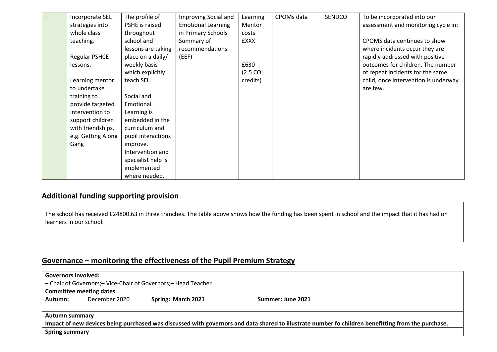| Incorporate SEL      | The profile of     | Improving Social and      | Learning              | CPOMs data | <b>SENDCO</b> | To be incorporated into our          |
|----------------------|--------------------|---------------------------|-----------------------|------------|---------------|--------------------------------------|
| strategies into      | PSHE is raised     | <b>Emotional Learning</b> | Mentor                |            |               | assessment and monitoring cycle in:  |
| whole class          | throughout         | in Primary Schools        | costs                 |            |               |                                      |
| teaching.            | school and         | Summary of                | <b>EXXX</b>           |            |               | CPOMS data continues to show         |
|                      | lessons are taking | recommendations           |                       |            |               | where incidents occur they are       |
| <b>Regular PSHCE</b> | place on a daily/  | (EEF)                     |                       |            |               | rapidly addressed with positive      |
| lessons.             | weekly basis       |                           | £630                  |            |               | outcomes for children. The number    |
|                      | which explicitly   |                           | $(2.5 \, \text{COL})$ |            |               | of repeat incidents for the same     |
| Learning mentor      | teach SEL.         |                           | credits)              |            |               | child, once intervention is underway |
| to undertake         |                    |                           |                       |            |               | are few.                             |
| training to          | Social and         |                           |                       |            |               |                                      |
| provide targeted     | Emotional          |                           |                       |            |               |                                      |
| intervention to      | Learning is        |                           |                       |            |               |                                      |
| support children     | embedded in the    |                           |                       |            |               |                                      |
| with friendships,    | curriculum and     |                           |                       |            |               |                                      |
| e.g. Getting Along   | pupil interactions |                           |                       |            |               |                                      |
| Gang                 | improve.           |                           |                       |            |               |                                      |
|                      | Intervention and   |                           |                       |            |               |                                      |
|                      | specialist help is |                           |                       |            |               |                                      |
|                      | implemented        |                           |                       |            |               |                                      |
|                      | where needed.      |                           |                       |            |               |                                      |

## **Additional funding supporting provision**

The school has received £24800.63 in three tranches. The table above shows how the funding has been spent in school and the impact that it has had on learners in our school.

# **Governance – monitoring the effectiveness of the Pupil Premium Strategy**

|                                                                                                                                                    | <b>Governors involved:</b>                                      |                    |                   |  |  |  |  |  |
|----------------------------------------------------------------------------------------------------------------------------------------------------|-----------------------------------------------------------------|--------------------|-------------------|--|--|--|--|--|
|                                                                                                                                                    | - Chair of Governors; - Vice-Chair of Governors; - Head Teacher |                    |                   |  |  |  |  |  |
| <b>Committee meeting dates</b>                                                                                                                     |                                                                 |                    |                   |  |  |  |  |  |
| Autumn:                                                                                                                                            | December 2020                                                   | Spring: March 2021 | Summer: June 2021 |  |  |  |  |  |
|                                                                                                                                                    |                                                                 |                    |                   |  |  |  |  |  |
|                                                                                                                                                    | <b>Autumn summary</b>                                           |                    |                   |  |  |  |  |  |
| Impact of new devices being purchased was discussed with governors and data shared to illustrate number fo children benefitting from the purchase. |                                                                 |                    |                   |  |  |  |  |  |
|                                                                                                                                                    | <b>Spring summary</b>                                           |                    |                   |  |  |  |  |  |